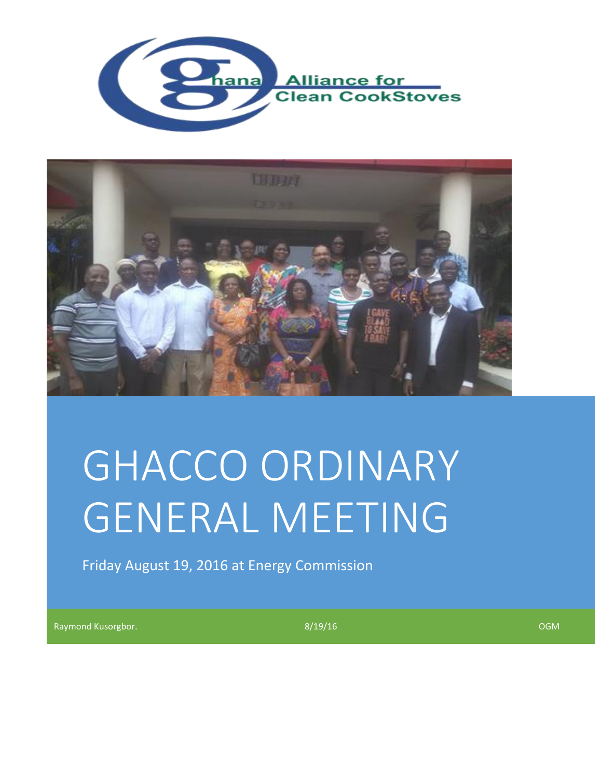



# GHACCO ORDINARY GENERAL MEETING

Friday August 19, 2016 at Energy Commission

Raymond Kusorgbor. 8/19/16 OGM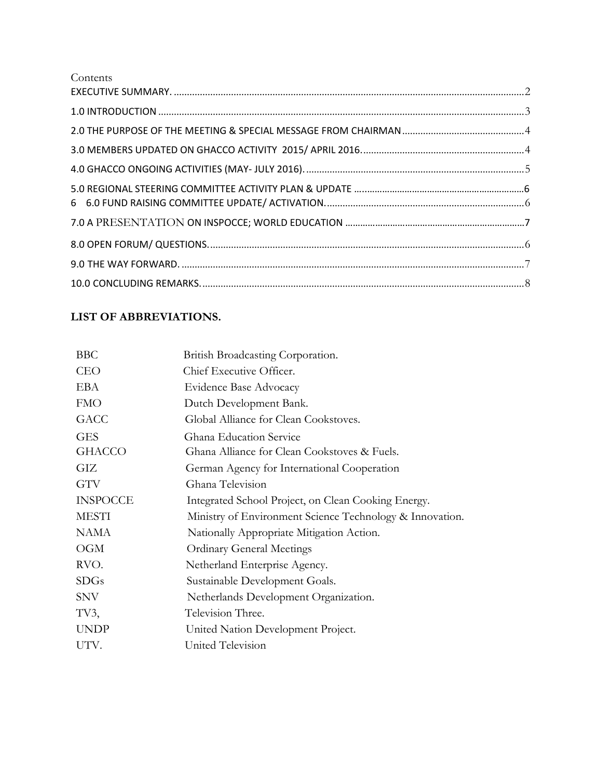| Contents                                                                                                                                                                                                                                                                                                                                                                                                     |  |
|--------------------------------------------------------------------------------------------------------------------------------------------------------------------------------------------------------------------------------------------------------------------------------------------------------------------------------------------------------------------------------------------------------------|--|
|                                                                                                                                                                                                                                                                                                                                                                                                              |  |
|                                                                                                                                                                                                                                                                                                                                                                                                              |  |
|                                                                                                                                                                                                                                                                                                                                                                                                              |  |
|                                                                                                                                                                                                                                                                                                                                                                                                              |  |
|                                                                                                                                                                                                                                                                                                                                                                                                              |  |
|                                                                                                                                                                                                                                                                                                                                                                                                              |  |
|                                                                                                                                                                                                                                                                                                                                                                                                              |  |
|                                                                                                                                                                                                                                                                                                                                                                                                              |  |
| ${\bf 10.0~CONCLUDING~REMARKS.}\hspace{1.0cm} {\bf .00~CONCLUDING~REMARKS.}\hspace{1.0cm} {\bf .00~ONCLUDING~REMARKS.}\hspace{1.0cm} {\bf .00~ONCLUDING~REMARKS.}\hspace{1.0cm} {\bf .00~ONCLUDING~REMARKS.}\hspace{1.0cm} {\bf .00~ONCLUDING~REMARKS.}\hspace{1.0cm} {\bf .00~ONCLUDING~REMARKS.}\hspace{1.0cm} {\bf .00~ONCLUDING~REMARKS.}\hspace{1.0cm} {\bf .00~ONCLUDING~REMARKS.}\hspace{1.0cm} {\bf$ |  |

# **LIST OF ABBREVIATIONS.**

| <b>BBC</b>      | British Broadcasting Corporation.                        |
|-----------------|----------------------------------------------------------|
| <b>CEO</b>      | Chief Executive Officer.                                 |
| EBA             | Evidence Base Advocacy                                   |
| <b>FMO</b>      | Dutch Development Bank.                                  |
| <b>GACC</b>     | Global Alliance for Clean Cookstoves.                    |
| <b>GES</b>      | Ghana Education Service                                  |
| <b>GHACCO</b>   | Ghana Alliance for Clean Cookstoves & Fuels.             |
| GIZ             | German Agency for International Cooperation              |
| <b>GTV</b>      | Ghana Television                                         |
| <b>INSPOCCE</b> | Integrated School Project, on Clean Cooking Energy.      |
| <b>MESTI</b>    | Ministry of Environment Science Technology & Innovation. |
| <b>NAMA</b>     | Nationally Appropriate Mitigation Action.                |
| OGM             | <b>Ordinary General Meetings</b>                         |
| RVO.            | Netherland Enterprise Agency.                            |
| <b>SDGs</b>     | Sustainable Development Goals.                           |
| <b>SNV</b>      | Netherlands Development Organization.                    |
| TV3,            | Television Three.                                        |
| <b>UNDP</b>     | United Nation Development Project.                       |
| UTV.            | United Television                                        |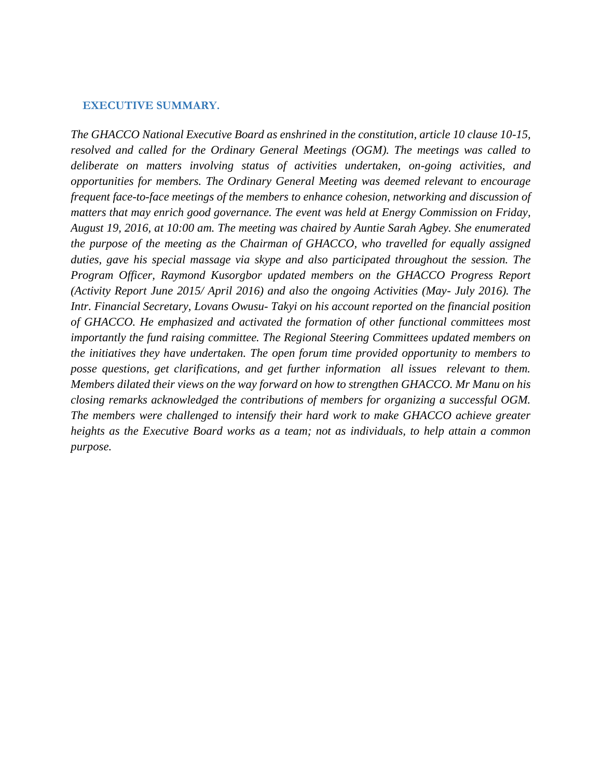#### <span id="page-2-0"></span> **EXECUTIVE SUMMARY.**

*The GHACCO National Executive Board as enshrined in the constitution, article 10 clause 10-15, resolved and called for the Ordinary General Meetings (OGM). The meetings was called to deliberate on matters involving status of activities undertaken, on-going activities, and opportunities for members. The Ordinary General Meeting was deemed relevant to encourage frequent face-to-face meetings of the members to enhance cohesion, networking and discussion of matters that may enrich good governance. The event was held at Energy Commission on Friday, August 19, 2016, at 10:00 am. The meeting was chaired by Auntie Sarah Agbey. She enumerated the purpose of the meeting as the Chairman of GHACCO, who travelled for equally assigned duties, gave his special massage via skype and also participated throughout the session. The Program Officer, Raymond Kusorgbor updated members on the GHACCO Progress Report (Activity Report June 2015/ April 2016) and also the ongoing Activities (May- July 2016). The Intr. Financial Secretary, Lovans Owusu- Takyi on his account reported on the financial position of GHACCO. He emphasized and activated the formation of other functional committees most importantly the fund raising committee. The Regional Steering Committees updated members on the initiatives they have undertaken. The open forum time provided opportunity to members to posse questions, get clarifications, and get further information all issues relevant to them. Members dilated their views on the way forward on how to strengthen GHACCO. Mr Manu on his closing remarks acknowledged the contributions of members for organizing a successful OGM. The members were challenged to intensify their hard work to make GHACCO achieve greater heights as the Executive Board works as a team; not as individuals, to help attain a common purpose.*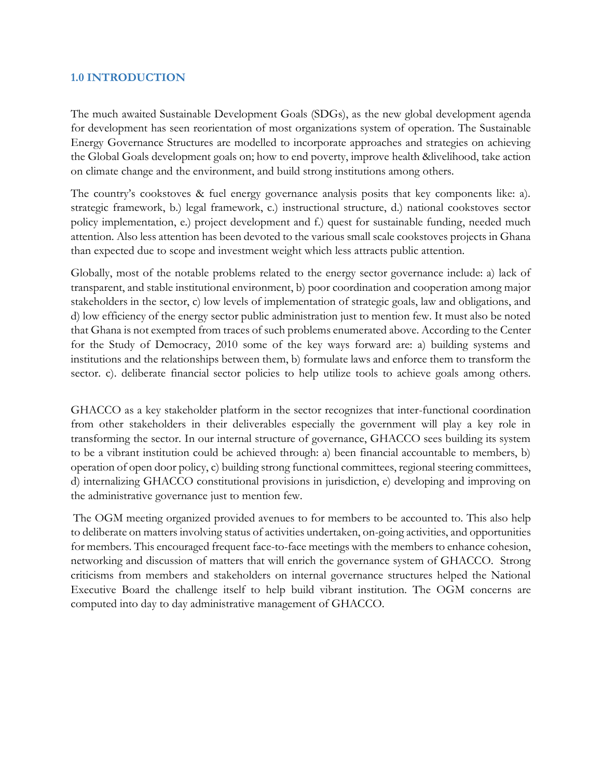#### <span id="page-3-0"></span>**1.0 INTRODUCTION**

The much awaited Sustainable Development Goals (SDGs), as the new global development agenda for development has seen reorientation of most organizations system of operation. The Sustainable Energy Governance Structures are modelled to incorporate approaches and strategies on achieving the Global Goals development goals on; how to end poverty, improve health &livelihood, take action on climate change and the environment, and build strong institutions among others.

The country's cookstoves & fuel energy governance analysis posits that key components like: a). strategic framework, b.) legal framework, c.) instructional structure, d.) national cookstoves sector policy implementation, e.) project development and f.) quest for sustainable funding, needed much attention. Also less attention has been devoted to the various small scale cookstoves projects in Ghana than expected due to scope and investment weight which less attracts public attention.

Globally, most of the notable problems related to the energy sector governance include: a) lack of transparent, and stable institutional environment, b) poor coordination and cooperation among major stakeholders in the sector, c) low levels of implementation of strategic goals, law and obligations, and d) low efficiency of the energy sector public administration just to mention few. It must also be noted that Ghana is not exempted from traces of such problems enumerated above. According to the Center for the Study of Democracy, 2010 some of the key ways forward are: a) building systems and institutions and the relationships between them, b) formulate laws and enforce them to transform the sector. c). deliberate financial sector policies to help utilize tools to achieve goals among others.

GHACCO as a key stakeholder platform in the sector recognizes that inter-functional coordination from other stakeholders in their deliverables especially the government will play a key role in transforming the sector. In our internal structure of governance, GHACCO sees building its system to be a vibrant institution could be achieved through: a) been financial accountable to members, b) operation of open door policy, c) building strong functional committees, regional steering committees, d) internalizing GHACCO constitutional provisions in jurisdiction, e) developing and improving on the administrative governance just to mention few.

The OGM meeting organized provided avenues to for members to be accounted to. This also help to deliberate on matters involving status of activities undertaken, on-going activities, and opportunities for members. This encouraged frequent face-to-face meetings with the members to enhance cohesion, networking and discussion of matters that will enrich the governance system of GHACCO. Strong criticisms from members and stakeholders on internal governance structures helped the National Executive Board the challenge itself to help build vibrant institution. The OGM concerns are computed into day to day administrative management of GHACCO.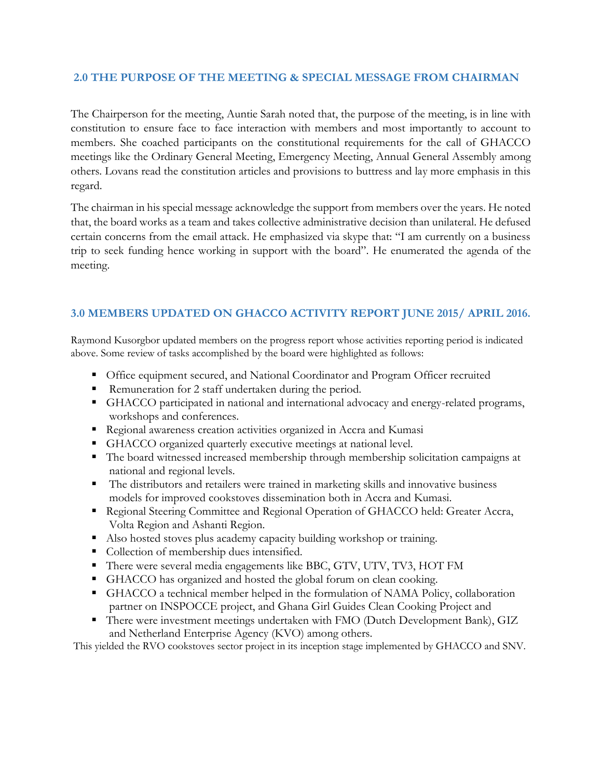#### <span id="page-4-0"></span>**2.0 THE PURPOSE OF THE MEETING & SPECIAL MESSAGE FROM CHAIRMAN**

The Chairperson for the meeting, Auntie Sarah noted that, the purpose of the meeting, is in line with constitution to ensure face to face interaction with members and most importantly to account to members. She coached participants on the constitutional requirements for the call of GHACCO meetings like the Ordinary General Meeting, Emergency Meeting, Annual General Assembly among others. Lovans read the constitution articles and provisions to buttress and lay more emphasis in this regard.

The chairman in his special message acknowledge the support from members over the years. He noted that, the board works as a team and takes collective administrative decision than unilateral. He defused certain concerns from the email attack. He emphasized via skype that: "I am currently on a business trip to seek funding hence working in support with the board". He enumerated the agenda of the meeting.

## <span id="page-4-1"></span>**3.0 MEMBERS UPDATED ON GHACCO ACTIVITY REPORT JUNE 2015/ APRIL 2016.**

Raymond Kusorgbor updated members on the progress report whose activities reporting period is indicated above. Some review of tasks accomplished by the board were highlighted as follows:

- Office equipment secured, and National Coordinator and Program Officer recruited
- Remuneration for 2 staff undertaken during the period.
- GHACCO participated in national and international advocacy and energy-related programs, workshops and conferences.
- Regional awareness creation activities organized in Accra and Kumasi
- **EXECO** organized quarterly executive meetings at national level.
- The board witnessed increased membership through membership solicitation campaigns at national and regional levels.
- The distributors and retailers were trained in marketing skills and innovative business models for improved cookstoves dissemination both in Accra and Kumasi.
- **Example 3** Regional Steering Committee and Regional Operation of GHACCO held: Greater Accra, Volta Region and Ashanti Region.
- Also hosted stoves plus academy capacity building workshop or training.
- Collection of membership dues intensified.
- There were several media engagements like BBC, GTV, UTV, TV3, HOT FM
- GHACCO has organized and hosted the global forum on clean cooking.
- GHACCO a technical member helped in the formulation of NAMA Policy, collaboration partner on INSPOCCE project, and Ghana Girl Guides Clean Cooking Project and
- There were investment meetings undertaken with FMO (Dutch Development Bank), GIZ and Netherland Enterprise Agency (KVO) among others.

This yielded the RVO cookstoves sector project in its inception stage implemented by GHACCO and SNV.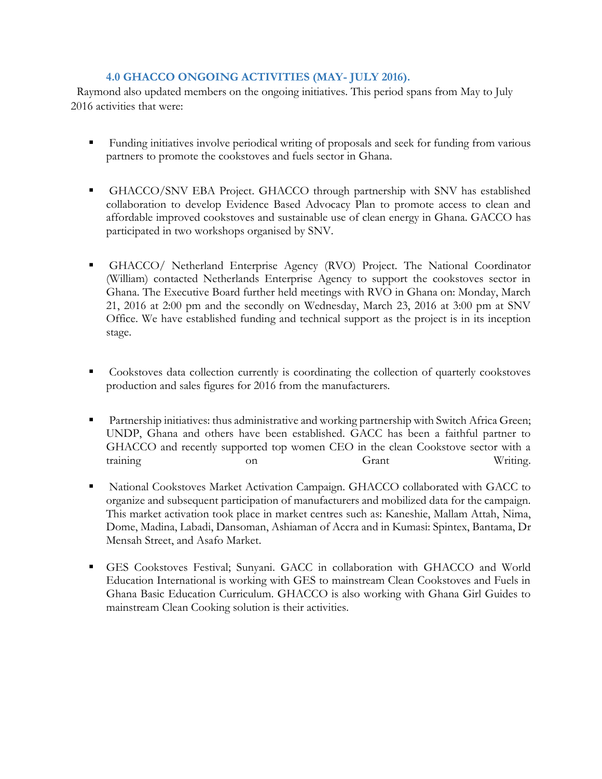## <span id="page-5-0"></span>**4.0 GHACCO ONGOING ACTIVITIES (MAY- JULY 2016).**

 Raymond also updated members on the ongoing initiatives. This period spans from May to July 2016 activities that were:

- Funding initiatives involve periodical writing of proposals and seek for funding from various partners to promote the cookstoves and fuels sector in Ghana.
- GHACCO/SNV EBA Project. GHACCO through partnership with SNV has established collaboration to develop Evidence Based Advocacy Plan to promote access to clean and affordable improved cookstoves and sustainable use of clean energy in Ghana. GACCO has participated in two workshops organised by SNV.
- GHACCO/ Netherland Enterprise Agency (RVO) Project. The National Coordinator (William) contacted Netherlands Enterprise Agency to support the cookstoves sector in Ghana. The Executive Board further held meetings with RVO in Ghana on: Monday, March 21, 2016 at 2:00 pm and the secondly on Wednesday, March 23, 2016 at 3:00 pm at SNV Office. We have established funding and technical support as the project is in its inception stage.
- Cookstoves data collection currently is coordinating the collection of quarterly cookstoves production and sales figures for 2016 from the manufacturers.
- Partnership initiatives: thus administrative and working partnership with Switch Africa Green; UNDP, Ghana and others have been established. GACC has been a faithful partner to GHACCO and recently supported top women CEO in the clean Cookstove sector with a training on on Grant Writing.
- National Cookstoves Market Activation Campaign. GHACCO collaborated with GACC to organize and subsequent participation of manufacturers and mobilized data for the campaign. This market activation took place in market centres such as: Kaneshie, Mallam Attah, Nima, Dome, Madina, Labadi, Dansoman, Ashiaman of Accra and in Kumasi: Spintex, Bantama, Dr Mensah Street, and Asafo Market.
- GES Cookstoves Festival; Sunyani. GACC in collaboration with GHACCO and World Education International is working with GES to mainstream Clean Cookstoves and Fuels in Ghana Basic Education Curriculum. GHACCO is also working with Ghana Girl Guides to mainstream Clean Cooking solution is their activities.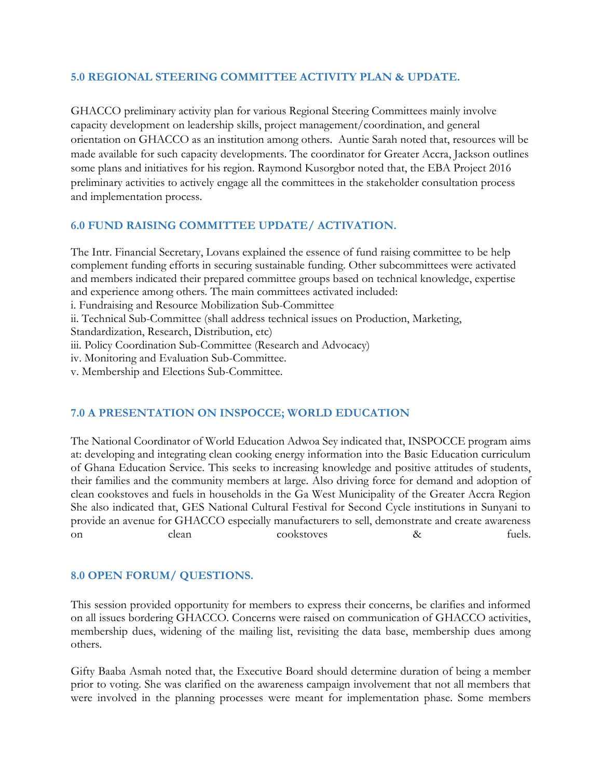#### <span id="page-6-0"></span>**5.0 REGIONAL STEERING COMMITTEE ACTIVITY PLAN & UPDATE.**

GHACCO preliminary activity plan for various Regional Steering Committees mainly involve capacity development on leadership skills, project management/coordination, and general orientation on GHACCO as an institution among others. Auntie Sarah noted that, resources will be made available for such capacity developments. The coordinator for Greater Accra, Jackson outlines some plans and initiatives for his region. Raymond Kusorgbor noted that, the EBA Project 2016 preliminary activities to actively engage all the committees in the stakeholder consultation process and implementation process.

## **6.0 FUND RAISING COMMITTEE UPDATE/ ACTIVATION.**

The Intr. Financial Secretary, Lovans explained the essence of fund raising committee to be help complement funding efforts in securing sustainable funding. Other subcommittees were activated and members indicated their prepared committee groups based on technical knowledge, expertise and experience among others. The main committees activated included:

i. Fundraising and Resource Mobilization Sub-Committee

ii. Technical Sub-Committee (shall address technical issues on Production, Marketing,

Standardization, Research, Distribution, etc)

iii. Policy Coordination Sub-Committee (Research and Advocacy)

iv. Monitoring and Evaluation Sub-Committee.

v. Membership and Elections Sub-Committee.

## **7.0 A PRESENTATION ON INSPOCCE; WORLD EDUCATION**

The National Coordinator of World Education Adwoa Sey indicated that, INSPOCCE program aims at: developing and integrating clean cooking energy information into the Basic Education curriculum of Ghana Education Service. This seeks to increasing knowledge and positive attitudes of students, their families and the community members at large. Also driving force for demand and adoption of clean cookstoves and fuels in households in the Ga West Municipality of the Greater Accra Region She also indicated that, GES National Cultural Festival for Second Cycle institutions in Sunyani to provide an avenue for GHACCO especially manufacturers to sell, demonstrate and create awareness on clean cookstoves & fuels.

## <span id="page-6-1"></span>**8.0 OPEN FORUM/ QUESTIONS.**

This session provided opportunity for members to express their concerns, be clarifies and informed on all issues bordering GHACCO. Concerns were raised on communication of GHACCO activities, membership dues, widening of the mailing list, revisiting the data base, membership dues among others.

Gifty Baaba Asmah noted that, the Executive Board should determine duration of being a member prior to voting. She was clarified on the awareness campaign involvement that not all members that were involved in the planning processes were meant for implementation phase. Some members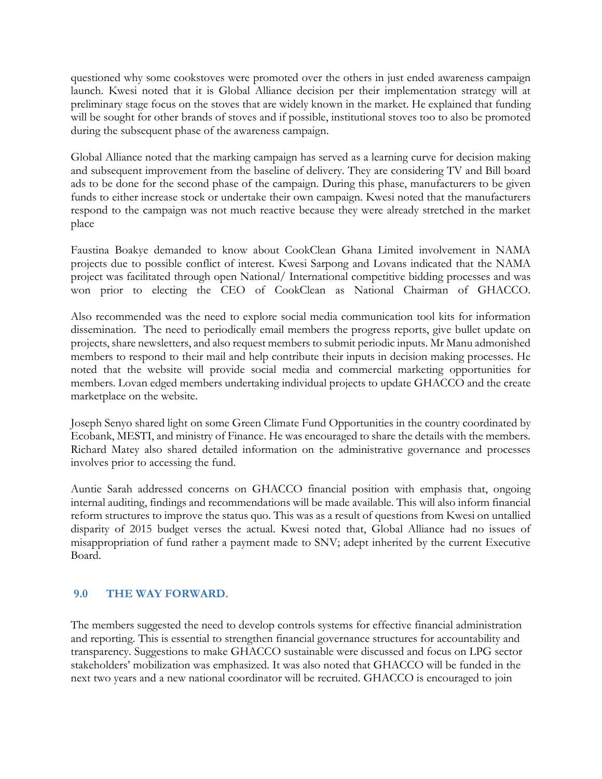questioned why some cookstoves were promoted over the others in just ended awareness campaign launch. Kwesi noted that it is Global Alliance decision per their implementation strategy will at preliminary stage focus on the stoves that are widely known in the market. He explained that funding will be sought for other brands of stoves and if possible, institutional stoves too to also be promoted during the subsequent phase of the awareness campaign.

Global Alliance noted that the marking campaign has served as a learning curve for decision making and subsequent improvement from the baseline of delivery. They are considering TV and Bill board ads to be done for the second phase of the campaign. During this phase, manufacturers to be given funds to either increase stock or undertake their own campaign. Kwesi noted that the manufacturers respond to the campaign was not much reactive because they were already stretched in the market place

Faustina Boakye demanded to know about CookClean Ghana Limited involvement in NAMA projects due to possible conflict of interest. Kwesi Sarpong and Lovans indicated that the NAMA project was facilitated through open National/ International competitive bidding processes and was won prior to electing the CEO of CookClean as National Chairman of GHACCO.

Also recommended was the need to explore social media communication tool kits for information dissemination. The need to periodically email members the progress reports, give bullet update on projects, share newsletters, and also request members to submit periodic inputs. Mr Manu admonished members to respond to their mail and help contribute their inputs in decision making processes. He noted that the website will provide social media and commercial marketing opportunities for members. Lovan edged members undertaking individual projects to update GHACCO and the create marketplace on the website.

Joseph Senyo shared light on some Green Climate Fund Opportunities in the country coordinated by Ecobank, MESTI, and ministry of Finance. He was encouraged to share the details with the members. Richard Matey also shared detailed information on the administrative governance and processes involves prior to accessing the fund.

Auntie Sarah addressed concerns on GHACCO financial position with emphasis that, ongoing internal auditing, findings and recommendations will be made available. This will also inform financial reform structures to improve the status quo. This was as a result of questions from Kwesi on untallied disparity of 2015 budget verses the actual. Kwesi noted that, Global Alliance had no issues of misappropriation of fund rather a payment made to SNV; adept inherited by the current Executive Board.

#### <span id="page-7-0"></span>**9.0 THE WAY FORWARD.**

The members suggested the need to develop controls systems for effective financial administration and reporting. This is essential to strengthen financial governance structures for accountability and transparency. Suggestions to make GHACCO sustainable were discussed and focus on LPG sector stakeholders' mobilization was emphasized. It was also noted that GHACCO will be funded in the next two years and a new national coordinator will be recruited. GHACCO is encouraged to join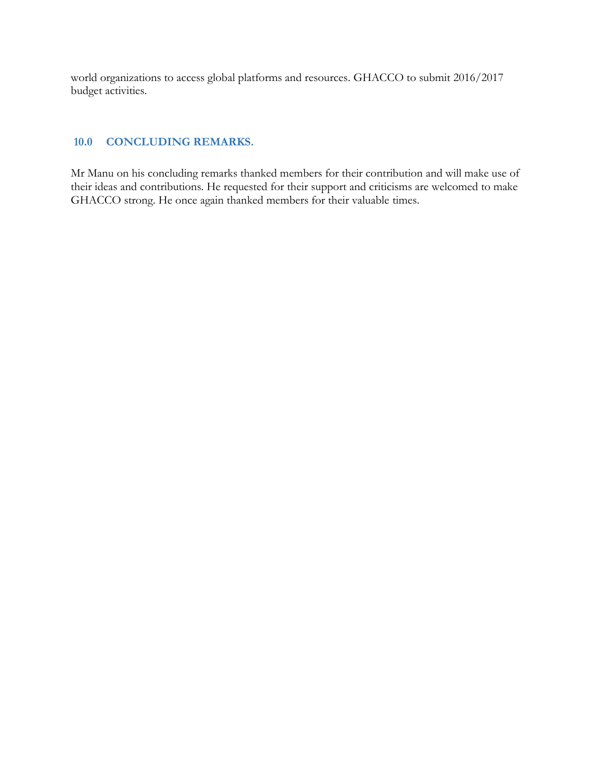world organizations to access global platforms and resources. GHACCO to submit 2016/2017 budget activities.

#### <span id="page-8-0"></span>**10.0 CONCLUDING REMARKS.**

Mr Manu on his concluding remarks thanked members for their contribution and will make use of their ideas and contributions. He requested for their support and criticisms are welcomed to make GHACCO strong. He once again thanked members for their valuable times.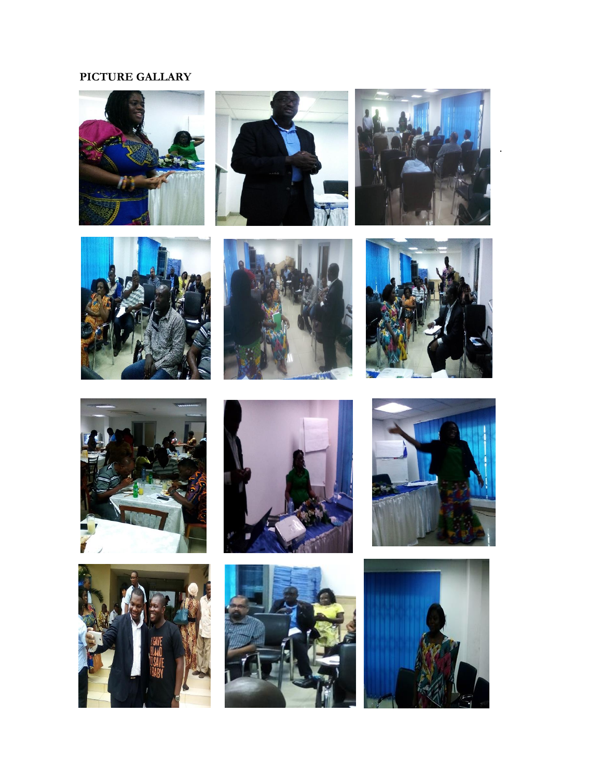## **PICTURE GALLARY**







.